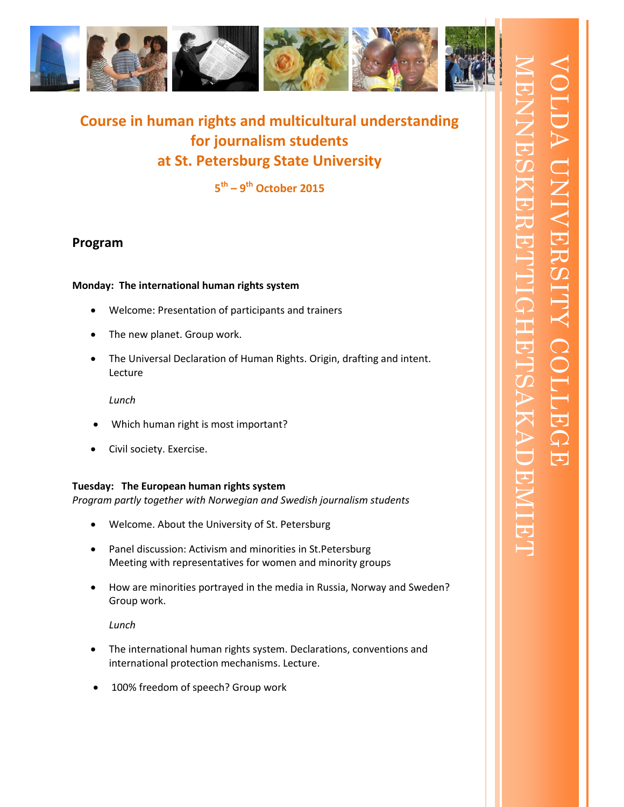

**Course in human rights and multicultural understanding for journalism students at St. Petersburg State University**

**5 th – 9 th October 2015**

# **Program**

## **Monday: The international human rights system**

- Welcome: Presentation of participants and trainers
- The new planet. Group work.
- The Universal Declaration of Human Rights. Origin, drafting and intent. Lecture

*Lunch*

- Which human right is most important?
- Civil society. Exercise.

## **Tuesday: The European human rights system**

*Program partly together with Norwegian and Swedish journalism students*

- Welcome. About the University of St. Petersburg
- Panel discussion: Activism and minorities in St.Petersburg Meeting with representatives for women and minority groups
- How are minorities portrayed in the media in Russia, Norway and Sweden? Group work.

*Lunch*

- The international human rights system. Declarations, conventions and international protection mechanisms. Lecture.
- 100% freedom of speech? Group work